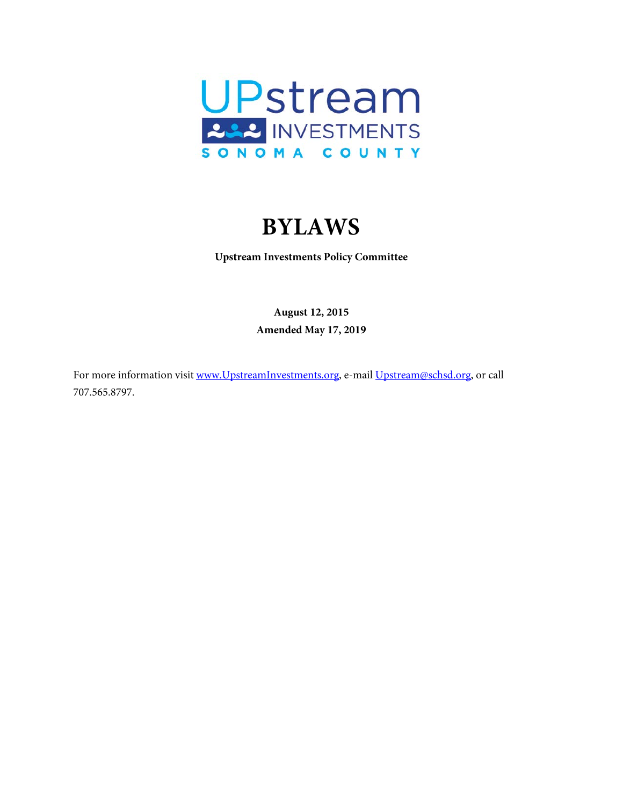

# **BYLAWS**

<span id="page-0-0"></span>**Upstream Investments Policy Committee**

**August 12, 2015 Amended May 17, 2019**

For more information visit [www.UpstreamInvestments.org,](http://www.upstreaminvestments.org/) e-mail [Upstream@schsd.org,](mailto:Upstream@schsd.org) or call 707.565.8797.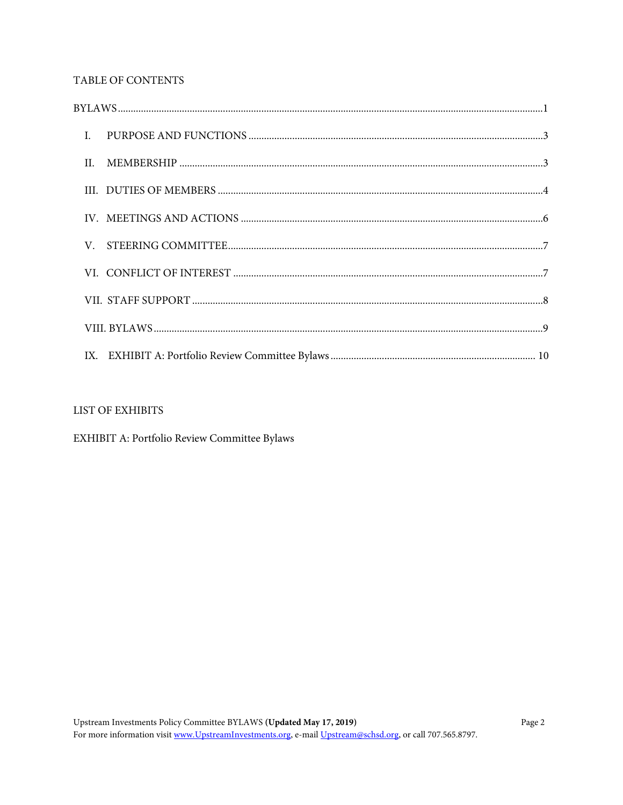# TABLE OF CONTENTS

# LIST OF EXHIBITS

EXHIBIT A: Portfolio Review Committee Bylaws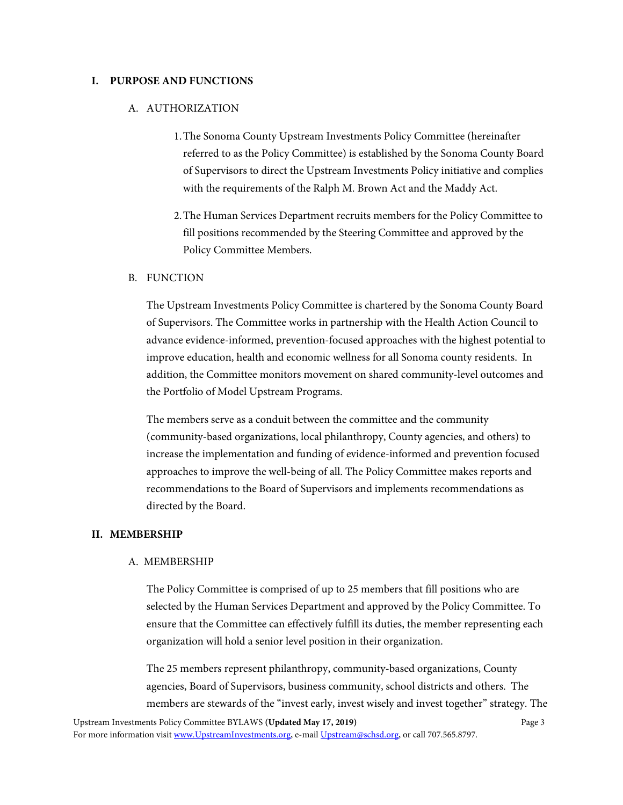#### <span id="page-2-0"></span>**I. PURPOSE AND FUNCTIONS**

#### A. AUTHORIZATION

- 1.The Sonoma County Upstream Investments Policy Committee (hereinafter referred to as the Policy Committee) is established by the Sonoma County Board of Supervisors to direct the Upstream Investments Policy initiative and complies with the requirements of the Ralph M. Brown Act and the Maddy Act.
- 2.The Human Services Department recruits members for the Policy Committee to fill positions recommended by the Steering Committee and approved by the Policy Committee Members.

#### B. FUNCTION

The Upstream Investments Policy Committee is chartered by the Sonoma County Board of Supervisors. The Committee works in partnership with the Health Action Council to advance evidence-informed, prevention-focused approaches with the highest potential to improve education, health and economic wellness for all Sonoma county residents. In addition, the Committee monitors movement on shared community-level outcomes and the Portfolio of Model Upstream Programs.

The members serve as a conduit between the committee and the community (community-based organizations, local philanthropy, County agencies, and others) to increase the implementation and funding of evidence-informed and prevention focused approaches to improve the well-being of all. The Policy Committee makes reports and recommendations to the Board of Supervisors and implements recommendations as directed by the Board.

#### <span id="page-2-1"></span>**II. MEMBERSHIP**

#### A. MEMBERSHIP

The Policy Committee is comprised of up to 25 members that fill positions who are selected by the Human Services Department and approved by the Policy Committee. To ensure that the Committee can effectively fulfill its duties, the member representing each organization will hold a senior level position in their organization.

The 25 members represent philanthropy, community-based organizations, County agencies, Board of Supervisors, business community, school districts and others. The members are stewards of the "invest early, invest wisely and invest together" strategy. The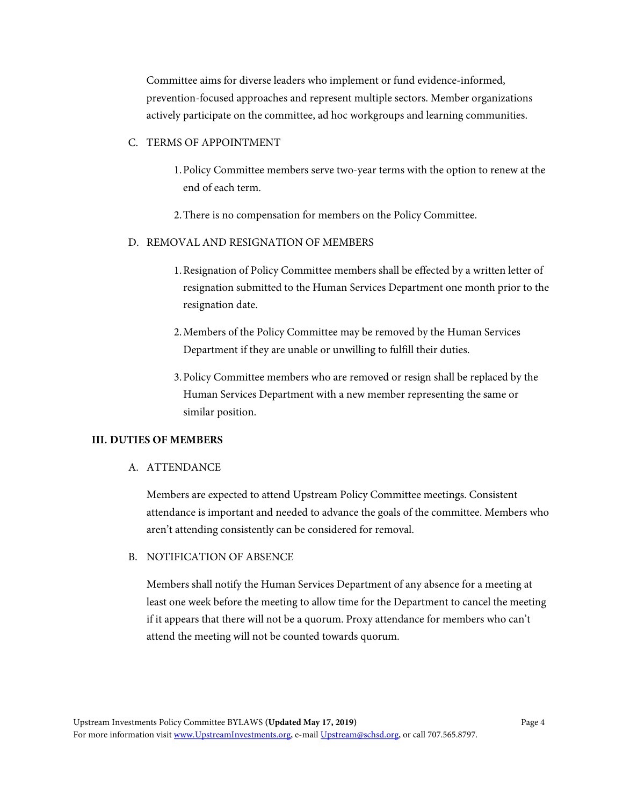Committee aims for diverse leaders who implement or fund evidence-informed, prevention-focused approaches and represent multiple sectors. Member organizations actively participate on the committee, ad hoc workgroups and learning communities.

# C. TERMS OF APPOINTMENT

- 1.Policy Committee members serve two-year terms with the option to renew at the end of each term.
- 2.There is no compensation for members on the Policy Committee.

#### D. REMOVAL AND RESIGNATION OF MEMBERS

- 1.Resignation of Policy Committee members shall be effected by a written letter of resignation submitted to the Human Services Department one month prior to the resignation date.
- 2.Members of the Policy Committee may be removed by the Human Services Department if they are unable or unwilling to fulfill their duties.
- 3.Policy Committee members who are removed or resign shall be replaced by the Human Services Department with a new member representing the same or similar position.

#### <span id="page-3-0"></span>**III. DUTIES OF MEMBERS**

#### A. ATTENDANCE

Members are expected to attend Upstream Policy Committee meetings. Consistent attendance is important and needed to advance the goals of the committee. Members who aren't attending consistently can be considered for removal.

#### B. NOTIFICATION OF ABSENCE

Members shall notify the Human Services Department of any absence for a meeting at least one week before the meeting to allow time for the Department to cancel the meeting if it appears that there will not be a quorum. Proxy attendance for members who can't attend the meeting will not be counted towards quorum.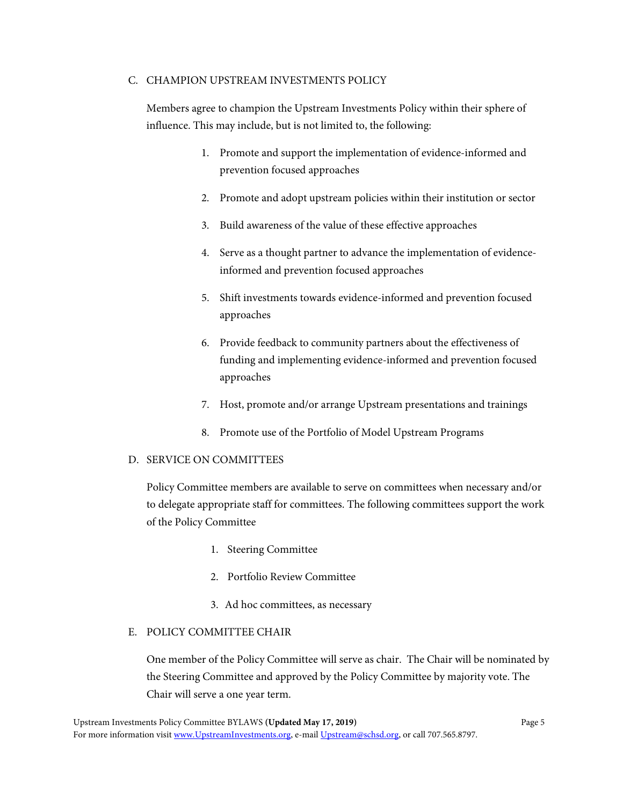#### C. CHAMPION UPSTREAM INVESTMENTS POLICY

Members agree to champion the Upstream Investments Policy within their sphere of influence. This may include, but is not limited to, the following:

- 1. Promote and support the implementation of evidence-informed and prevention focused approaches
- 2. Promote and adopt upstream policies within their institution or sector
- 3. Build awareness of the value of these effective approaches
- 4. Serve as a thought partner to advance the implementation of evidenceinformed and prevention focused approaches
- 5. Shift investments towards evidence-informed and prevention focused approaches
- 6. Provide feedback to community partners about the effectiveness of funding and implementing evidence-informed and prevention focused approaches
- 7. Host, promote and/or arrange Upstream presentations and trainings
- 8. Promote use of the Portfolio of Model Upstream Programs

#### D. SERVICE ON COMMITTEES

Policy Committee members are available to serve on committees when necessary and/or to delegate appropriate staff for committees. The following committees support the work of the Policy Committee

- 1. Steering Committee
- 2. Portfolio Review Committee
- 3. Ad hoc committees, as necessary

#### E. POLICY COMMITTEE CHAIR

One member of the Policy Committee will serve as chair. The Chair will be nominated by the Steering Committee and approved by the Policy Committee by majority vote. The Chair will serve a one year term.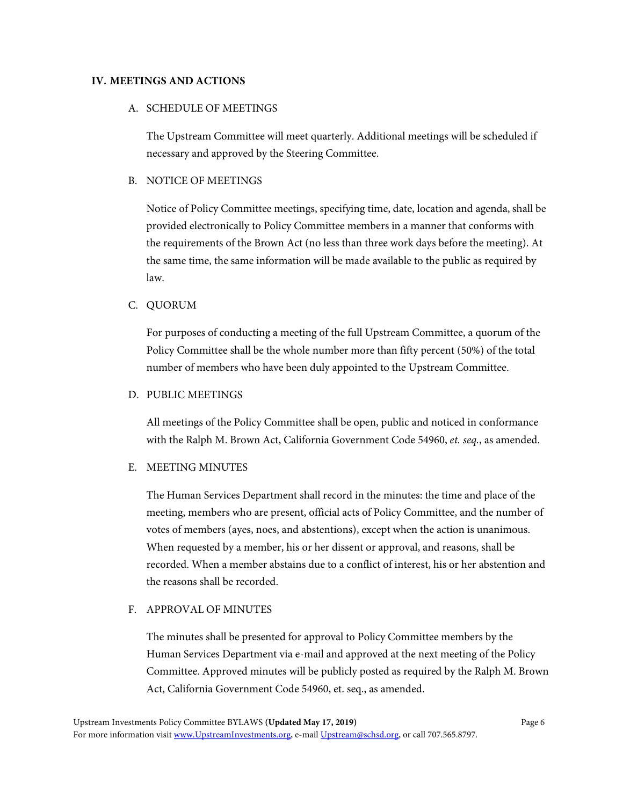#### <span id="page-5-0"></span>**IV. MEETINGS AND ACTIONS**

#### A. SCHEDULE OF MEETINGS

The Upstream Committee will meet quarterly. Additional meetings will be scheduled if necessary and approved by the Steering Committee.

#### B. NOTICE OF MEETINGS

Notice of Policy Committee meetings, specifying time, date, location and agenda, shall be provided electronically to Policy Committee members in a manner that conforms with the requirements of the Brown Act (no less than three work days before the meeting). At the same time, the same information will be made available to the public as required by law.

#### C. QUORUM

For purposes of conducting a meeting of the full Upstream Committee, a quorum of the Policy Committee shall be the whole number more than fifty percent (50%) of the total number of members who have been duly appointed to the Upstream Committee.

#### D. PUBLIC MEETINGS

All meetings of the Policy Committee shall be open, public and noticed in conformance with the Ralph M. Brown Act, California Government Code 54960, *et. seq.*, as amended.

#### E. MEETING MINUTES

The Human Services Department shall record in the minutes: the time and place of the meeting, members who are present, official acts of Policy Committee, and the number of votes of members (ayes, noes, and abstentions), except when the action is unanimous. When requested by a member, his or her dissent or approval, and reasons, shall be recorded. When a member abstains due to a conflict of interest, his or her abstention and the reasons shall be recorded.

#### F. APPROVAL OF MINUTES

The minutes shall be presented for approval to Policy Committee members by the Human Services Department via e-mail and approved at the next meeting of the Policy Committee. Approved minutes will be publicly posted as required by the Ralph M. Brown Act, California Government Code 54960, et. seq., as amended.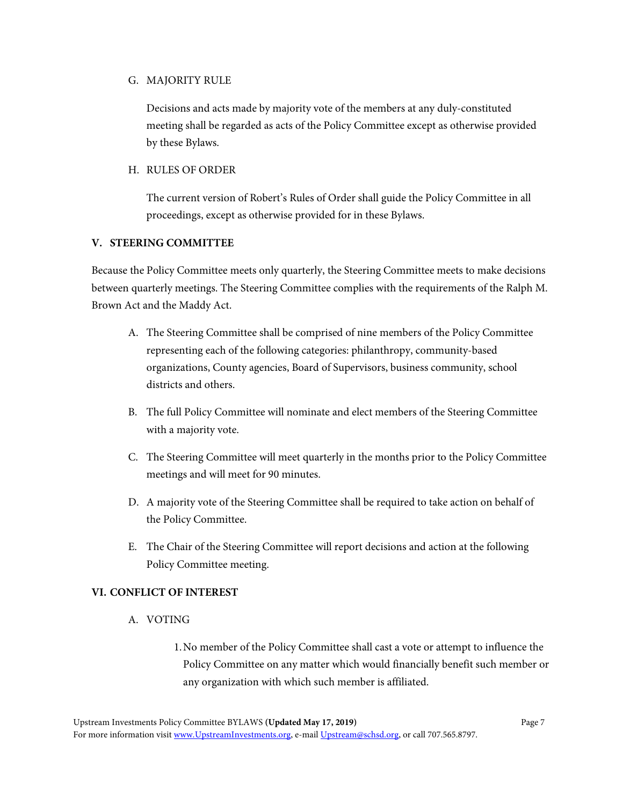#### G. MAJORITY RULE

Decisions and acts made by majority vote of the members at any duly-constituted meeting shall be regarded as acts of the Policy Committee except as otherwise provided by these Bylaws.

#### H. RULES OF ORDER

The current version of Robert's Rules of Order shall guide the Policy Committee in all proceedings, except as otherwise provided for in these Bylaws.

# <span id="page-6-0"></span>**V. STEERING COMMITTEE**

Because the Policy Committee meets only quarterly, the Steering Committee meets to make decisions between quarterly meetings. The Steering Committee complies with the requirements of the Ralph M. Brown Act and the Maddy Act.

- A. The Steering Committee shall be comprised of nine members of the Policy Committee representing each of the following categories: philanthropy, community-based organizations, County agencies, Board of Supervisors, business community, school districts and others.
- B. The full Policy Committee will nominate and elect members of the Steering Committee with a majority vote.
- C. The Steering Committee will meet quarterly in the months prior to the Policy Committee meetings and will meet for 90 minutes.
- D. A majority vote of the Steering Committee shall be required to take action on behalf of the Policy Committee.
- E. The Chair of the Steering Committee will report decisions and action at the following Policy Committee meeting.

# <span id="page-6-1"></span>**VI. CONFLICT OF INTEREST**

#### A. VOTING

1.No member of the Policy Committee shall cast a vote or attempt to influence the Policy Committee on any matter which would financially benefit such member or any organization with which such member is affiliated.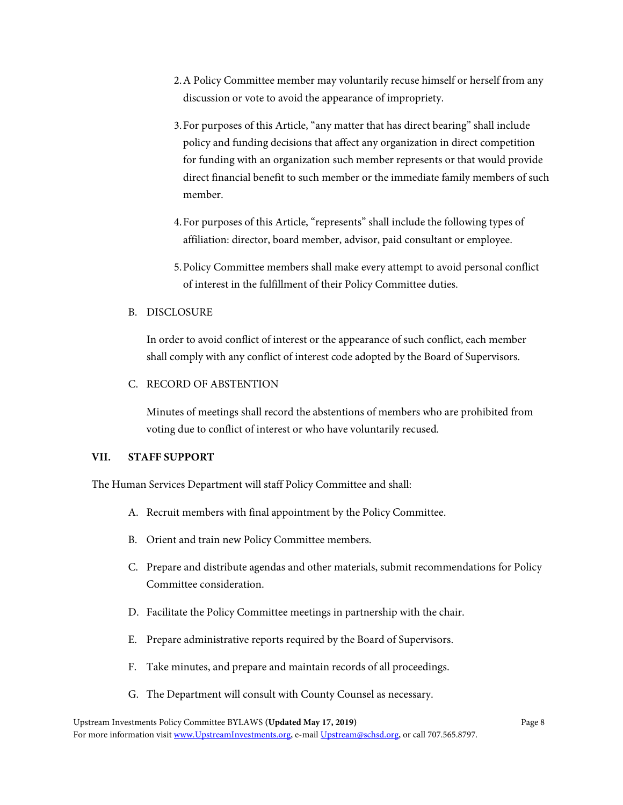- 2.A Policy Committee member may voluntarily recuse himself or herself from any discussion or vote to avoid the appearance of impropriety.
- 3.For purposes of this Article, "any matter that has direct bearing" shall include policy and funding decisions that affect any organization in direct competition for funding with an organization such member represents or that would provide direct financial benefit to such member or the immediate family members of such member.
- 4.For purposes of this Article, "represents" shall include the following types of affiliation: director, board member, advisor, paid consultant or employee.
- 5.Policy Committee members shall make every attempt to avoid personal conflict of interest in the fulfillment of their Policy Committee duties.

# B. DISCLOSURE

In order to avoid conflict of interest or the appearance of such conflict, each member shall comply with any conflict of interest code adopted by the Board of Supervisors.

C. RECORD OF ABSTENTION

Minutes of meetings shall record the abstentions of members who are prohibited from voting due to conflict of interest or who have voluntarily recused.

# <span id="page-7-0"></span>**VII. STAFF SUPPORT**

The Human Services Department will staff Policy Committee and shall:

- A. Recruit members with final appointment by the Policy Committee.
- B. Orient and train new Policy Committee members.
- C. Prepare and distribute agendas and other materials, submit recommendations for Policy Committee consideration.
- D. Facilitate the Policy Committee meetings in partnership with the chair.
- E. Prepare administrative reports required by the Board of Supervisors.
- F. Take minutes, and prepare and maintain records of all proceedings.
- G. The Department will consult with County Counsel as necessary.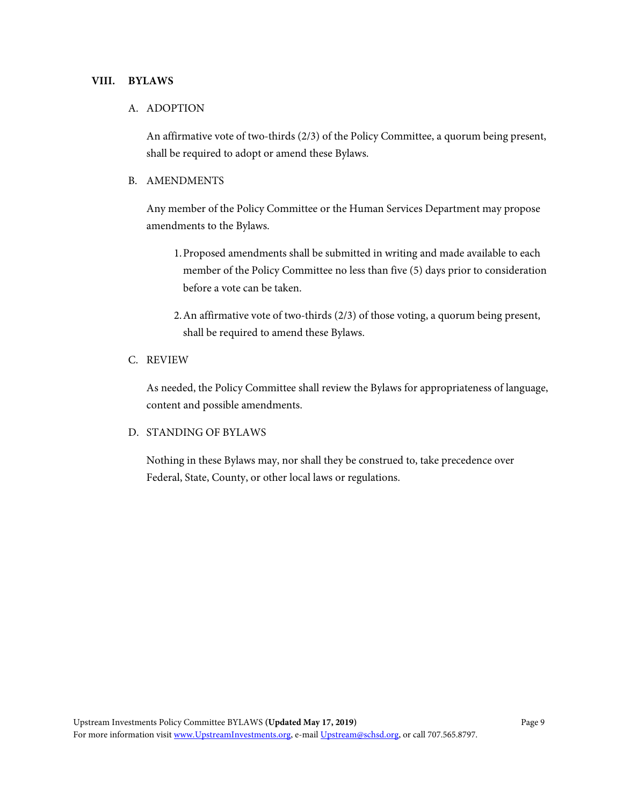#### <span id="page-8-0"></span>**VIII. BYLAWS**

#### A. ADOPTION

An affirmative vote of two-thirds (2/3) of the Policy Committee, a quorum being present, shall be required to adopt or amend these Bylaws.

#### B. AMENDMENTS

Any member of the Policy Committee or the Human Services Department may propose amendments to the Bylaws.

- 1.Proposed amendments shall be submitted in writing and made available to each member of the Policy Committee no less than five (5) days prior to consideration before a vote can be taken.
- 2.An affirmative vote of two-thirds (2/3) of those voting, a quorum being present, shall be required to amend these Bylaws.

#### C. REVIEW

As needed, the Policy Committee shall review the Bylaws for appropriateness of language, content and possible amendments.

#### D. STANDING OF BYLAWS

Nothing in these Bylaws may, nor shall they be construed to, take precedence over Federal, State, County, or other local laws or regulations.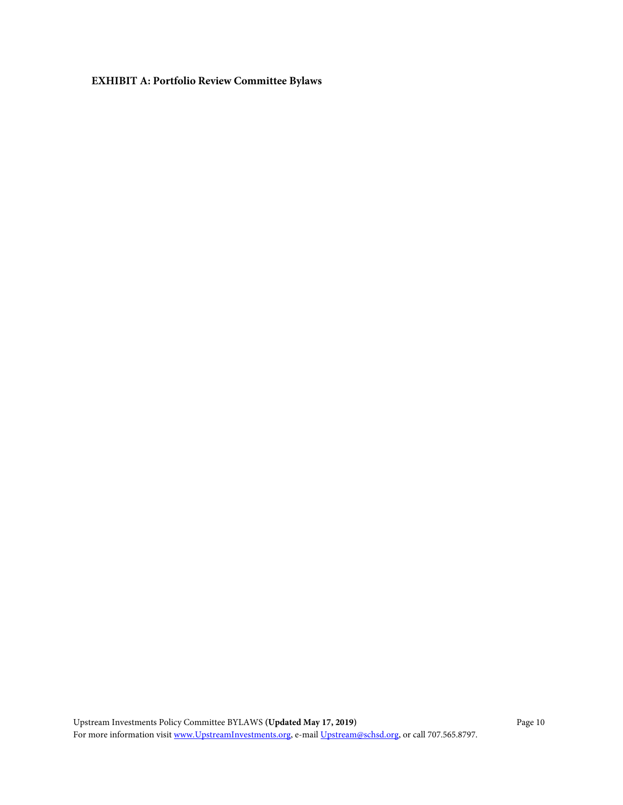<span id="page-9-0"></span>**EXHIBIT A: Portfolio Review Committee Bylaws**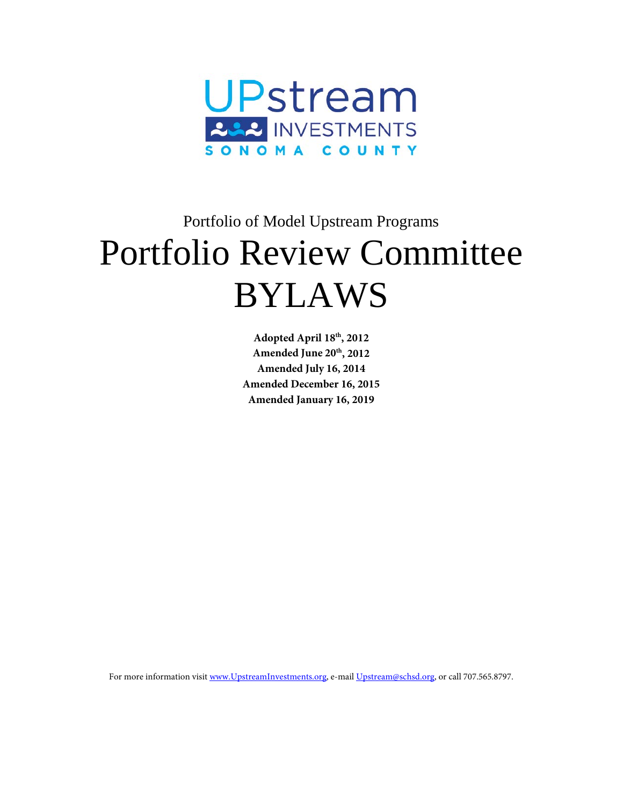

# Portfolio of Model Upstream Programs Portfolio Review Committee BYLAWS

**Adopted April 18th, 2012 Amended June 20th, 2012 Amended July 16, 2014 Amended December 16, 2015 Amended January 16, 2019**

For more information visit [www.UpstreamInvestments.org,](http://www.upstreaminvestments.org/) e-mai[l Upstream@schsd.org,](mailto:Upstream@schsd.org) or call 707.565.8797.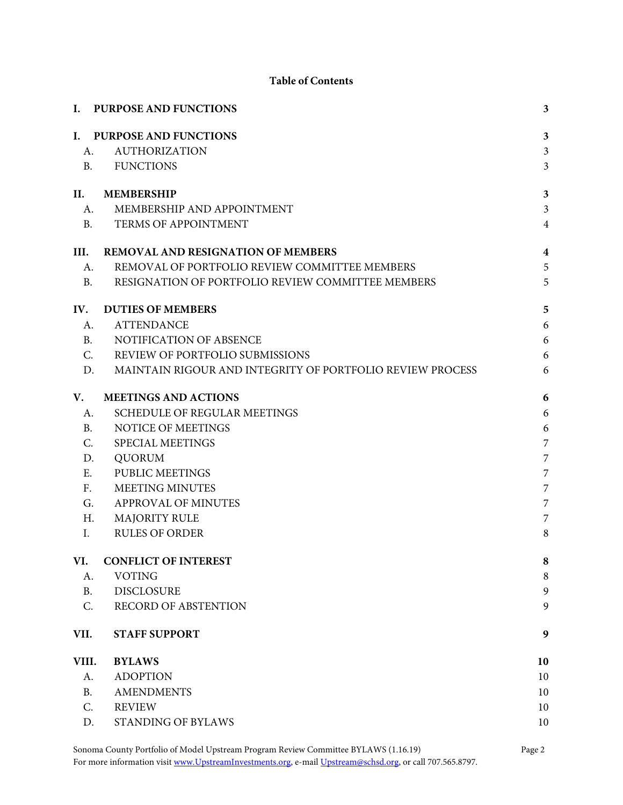# **Table of Contents**

|                | I. PURPOSE AND FUNCTIONS                                  | $\overline{\mathbf{3}}$ |
|----------------|-----------------------------------------------------------|-------------------------|
|                | I. PURPOSE AND FUNCTIONS                                  | $\overline{\mathbf{3}}$ |
| A.             | <b>AUTHORIZATION</b>                                      | $\overline{\mathbf{3}}$ |
| <b>B.</b>      | <b>FUNCTIONS</b>                                          | $\overline{\mathbf{3}}$ |
| II.            | <b>MEMBERSHIP</b>                                         | 3                       |
| A.             | MEMBERSHIP AND APPOINTMENT                                | $\overline{\mathbf{3}}$ |
| <b>B.</b>      | TERMS OF APPOINTMENT                                      | $\overline{4}$          |
| III.           | <b>REMOVAL AND RESIGNATION OF MEMBERS</b>                 | $\boldsymbol{4}$        |
| A.             | REMOVAL OF PORTFOLIO REVIEW COMMITTEE MEMBERS             | 5                       |
| <b>B.</b>      | RESIGNATION OF PORTFOLIO REVIEW COMMITTEE MEMBERS         | 5                       |
| IV.            | <b>DUTIES OF MEMBERS</b>                                  | 5                       |
| A.             | <b>ATTENDANCE</b>                                         | 6                       |
| B.             | NOTIFICATION OF ABSENCE                                   | 6                       |
| C.             | REVIEW OF PORTFOLIO SUBMISSIONS                           | 6                       |
| D.             | MAINTAIN RIGOUR AND INTEGRITY OF PORTFOLIO REVIEW PROCESS | 6                       |
| V.             | <b>MEETINGS AND ACTIONS</b>                               | 6                       |
| A.             | <b>SCHEDULE OF REGULAR MEETINGS</b>                       | 6                       |
| B.             | NOTICE OF MEETINGS                                        | 6                       |
| C.             | SPECIAL MEETINGS                                          | $\overline{7}$          |
| D.             | <b>QUORUM</b>                                             | 7                       |
| E.             | PUBLIC MEETINGS                                           | 7                       |
| F <sub>r</sub> | <b>MEETING MINUTES</b>                                    | 7                       |
| G.             | APPROVAL OF MINUTES                                       | 7                       |
| H.             | <b>MAJORITY RULE</b>                                      | 7                       |
| Ι.             | <b>RULES OF ORDER</b>                                     | 8                       |
| VI.            | <b>CONFLICT OF INTEREST</b>                               | 8                       |
| А.             | <b>VOTING</b>                                             | 8                       |
| B.             | <b>DISCLOSURE</b>                                         | 9                       |
| C.             | <b>RECORD OF ABSTENTION</b>                               | 9                       |
| VII.           | <b>STAFF SUPPORT</b>                                      | 9                       |
| VIII.          | <b>BYLAWS</b>                                             | 10                      |
| А.             | <b>ADOPTION</b>                                           | 10                      |
| <b>B.</b>      | <b>AMENDMENTS</b>                                         | 10                      |
| C.             | <b>REVIEW</b>                                             | 10                      |
| D.             | <b>STANDING OF BYLAWS</b>                                 | 10                      |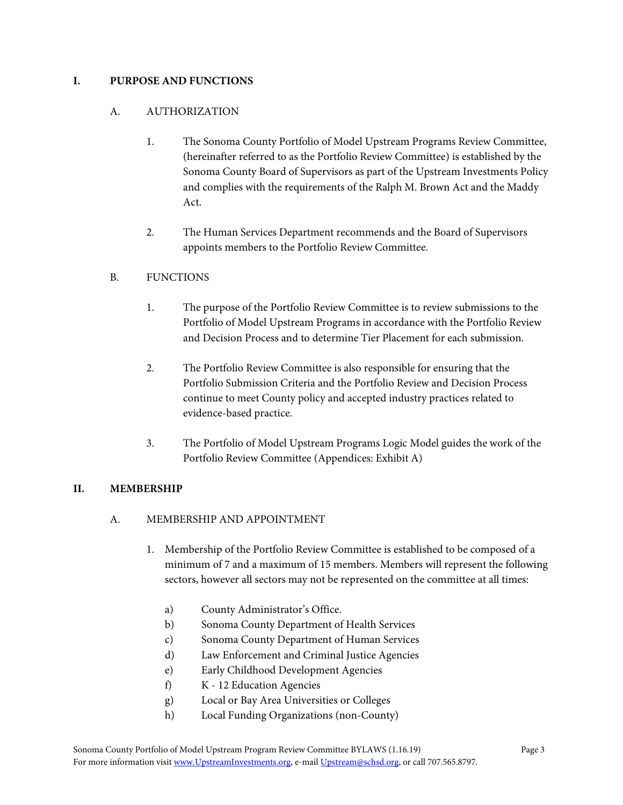# <span id="page-12-1"></span><span id="page-12-0"></span>**I. PURPOSE AND FUNCTIONS**

# A. AUTHORIZATION

- 1. The Sonoma County Portfolio of Model Upstream Programs Review Committee, (hereinafter referred to as the Portfolio Review Committee) is established by the Sonoma County Board of Supervisors as part of the Upstream Investments Policy and complies with the requirements of the Ralph M. Brown Act and the Maddy Act.
- 2. The Human Services Department recommends and the Board of Supervisors appoints members to the Portfolio Review Committee.

# <span id="page-12-2"></span>B. FUNCTIONS

- 1. The purpose of the Portfolio Review Committee is to review submissions to the Portfolio of Model Upstream Programs in accordance with the Portfolio Review and Decision Process and to determine Tier Placement for each submission.
- 2. The Portfolio Review Committee is also responsible for ensuring that the Portfolio Submission Criteria and the Portfolio Review and Decision Process continue to meet County policy and accepted industry practices related to evidence-based practice.
- 3. The Portfolio of Model Upstream Programs Logic Model guides the work of the Portfolio Review Committee (Appendices: Exhibit A)

# <span id="page-12-4"></span><span id="page-12-3"></span>**II. MEMBERSHIP**

# A. MEMBERSHIP AND APPOINTMENT

- 1. Membership of the Portfolio Review Committee is established to be composed of a minimum of 7 and a maximum of 15 members. Members will represent the following sectors, however all sectors may not be represented on the committee at all times:
	- a) County Administrator's Office.
	- b) Sonoma County Department of Health Services
	- c) Sonoma County Department of Human Services
	- d) Law Enforcement and Criminal Justice Agencies
	- e) Early Childhood Development Agencies
	- f) K 12 Education Agencies
	- g) Local or Bay Area Universities or Colleges
	- h) Local Funding Organizations (non-County)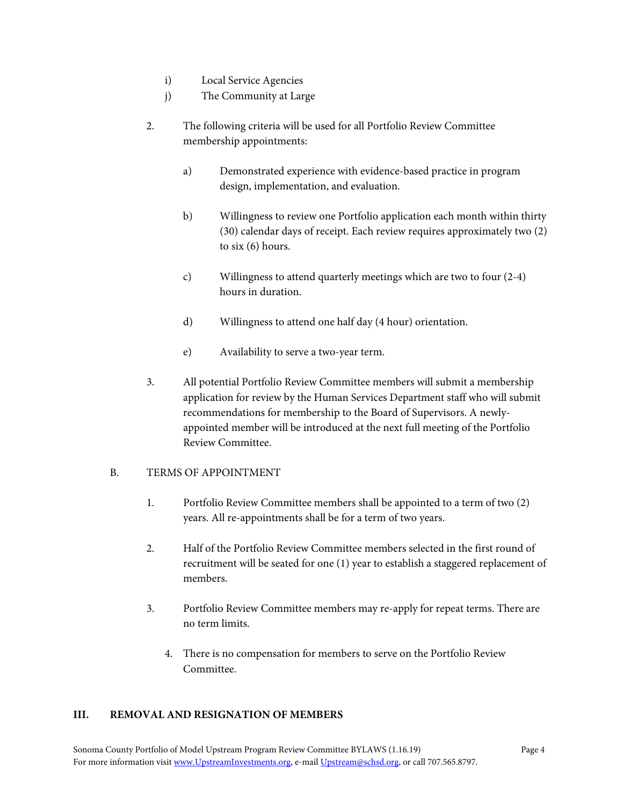- i) Local Service Agencies
- j) The Community at Large
- 2. The following criteria will be used for all Portfolio Review Committee membership appointments:
	- a) Demonstrated experience with evidence-based practice in program design, implementation, and evaluation.
	- b) Willingness to review one Portfolio application each month within thirty (30) calendar days of receipt. Each review requires approximately two (2) to six (6) hours.
	- c) Willingness to attend quarterly meetings which are two to four (2-4) hours in duration.
	- d) Willingness to attend one half day (4 hour) orientation.
	- e) Availability to serve a two-year term.
- 3. All potential Portfolio Review Committee members will submit a membership application for review by the Human Services Department staff who will submit recommendations for membership to the Board of Supervisors. A newlyappointed member will be introduced at the next full meeting of the Portfolio Review Committee.

# <span id="page-13-0"></span>B. TERMS OF APPOINTMENT

- 1. Portfolio Review Committee members shall be appointed to a term of two (2) years. All re-appointments shall be for a term of two years.
- 2. Half of the Portfolio Review Committee members selected in the first round of recruitment will be seated for one (1) year to establish a staggered replacement of members.
- 3. Portfolio Review Committee members may re-apply for repeat terms. There are no term limits.
	- 4. There is no compensation for members to serve on the Portfolio Review Committee.

#### <span id="page-13-1"></span>**III. REMOVAL AND RESIGNATION OF MEMBERS**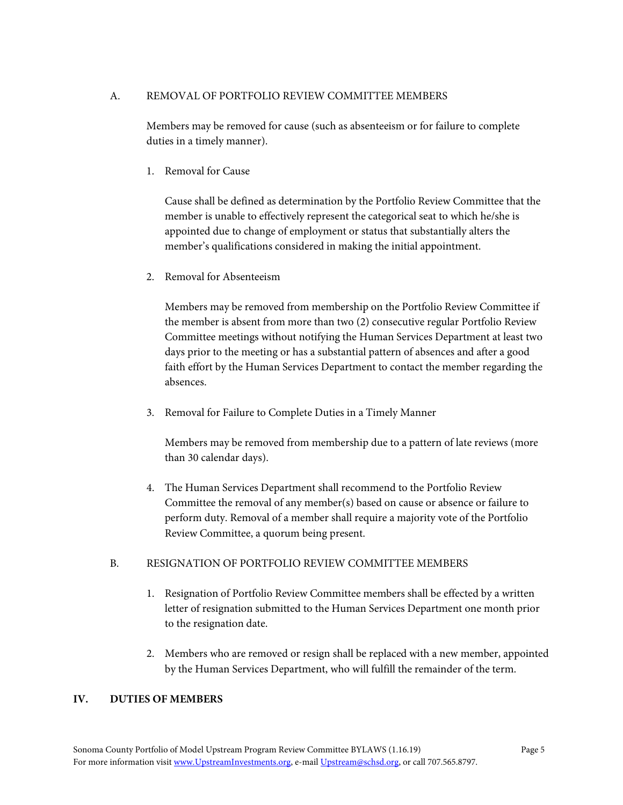# <span id="page-14-0"></span>A. REMOVAL OF PORTFOLIO REVIEW COMMITTEE MEMBERS

Members may be removed for cause (such as absenteeism or for failure to complete duties in a timely manner).

1. Removal for Cause

Cause shall be defined as determination by the Portfolio Review Committee that the member is unable to effectively represent the categorical seat to which he/she is appointed due to change of employment or status that substantially alters the member's qualifications considered in making the initial appointment.

2. Removal for Absenteeism

Members may be removed from membership on the Portfolio Review Committee if the member is absent from more than two (2) consecutive regular Portfolio Review Committee meetings without notifying the Human Services Department at least two days prior to the meeting or has a substantial pattern of absences and after a good faith effort by the Human Services Department to contact the member regarding the absences.

3. Removal for Failure to Complete Duties in a Timely Manner

Members may be removed from membership due to a pattern of late reviews (more than 30 calendar days).

4. The Human Services Department shall recommend to the Portfolio Review Committee the removal of any member(s) based on cause or absence or failure to perform duty. Removal of a member shall require a majority vote of the Portfolio Review Committee, a quorum being present.

#### <span id="page-14-1"></span>B. RESIGNATION OF PORTFOLIO REVIEW COMMITTEE MEMBERS

- 1. Resignation of Portfolio Review Committee members shall be effected by a written letter of resignation submitted to the Human Services Department one month prior to the resignation date.
- 2. Members who are removed or resign shall be replaced with a new member, appointed by the Human Services Department, who will fulfill the remainder of the term.

# <span id="page-14-2"></span>**IV. DUTIES OF MEMBERS**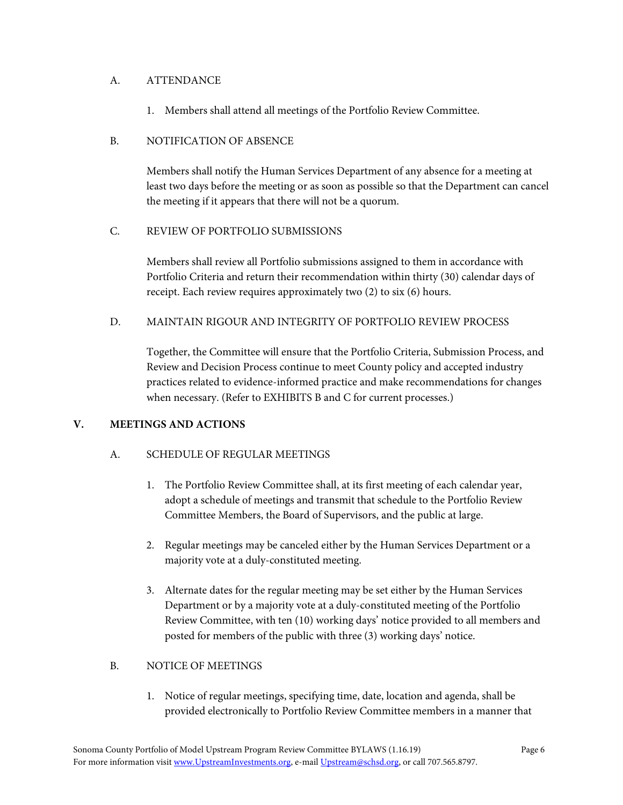# <span id="page-15-0"></span>A. ATTENDANCE

1. Members shall attend all meetings of the Portfolio Review Committee.

# <span id="page-15-1"></span>B. NOTIFICATION OF ABSENCE

Members shall notify the Human Services Department of any absence for a meeting at least two days before the meeting or as soon as possible so that the Department can cancel the meeting if it appears that there will not be a quorum.

# <span id="page-15-2"></span>C. REVIEW OF PORTFOLIO SUBMISSIONS

Members shall review all Portfolio submissions assigned to them in accordance with Portfolio Criteria and return their recommendation within thirty (30) calendar days of receipt. Each review requires approximately two (2) to six (6) hours.

# <span id="page-15-3"></span>D. MAINTAIN RIGOUR AND INTEGRITY OF PORTFOLIO REVIEW PROCESS

Together, the Committee will ensure that the Portfolio Criteria, Submission Process, and Review and Decision Process continue to meet County policy and accepted industry practices related to evidence-informed practice and make recommendations for changes when necessary. (Refer to EXHIBITS B and C for current processes.)

#### <span id="page-15-5"></span><span id="page-15-4"></span>**V. MEETINGS AND ACTIONS**

# A. SCHEDULE OF REGULAR MEETINGS

- 1. The Portfolio Review Committee shall, at its first meeting of each calendar year, adopt a schedule of meetings and transmit that schedule to the Portfolio Review Committee Members, the Board of Supervisors, and the public at large.
- 2. Regular meetings may be canceled either by the Human Services Department or a majority vote at a duly-constituted meeting.
- 3. Alternate dates for the regular meeting may be set either by the Human Services Department or by a majority vote at a duly-constituted meeting of the Portfolio Review Committee, with ten (10) working days' notice provided to all members and posted for members of the public with three (3) working days' notice.

# <span id="page-15-6"></span>B. NOTICE OF MEETINGS

1. Notice of regular meetings, specifying time, date, location and agenda, shall be provided electronically to Portfolio Review Committee members in a manner that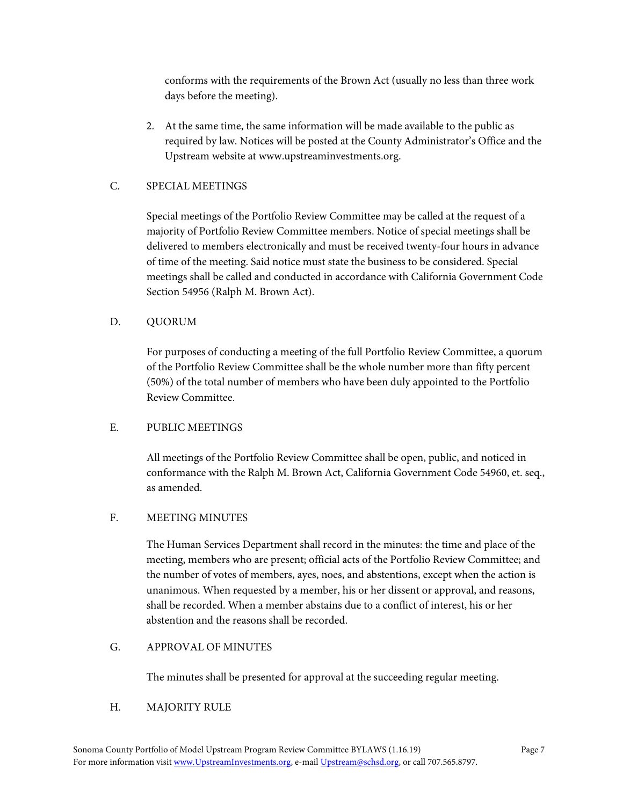conforms with the requirements of the Brown Act (usually no less than three work days before the meeting).

2. At the same time, the same information will be made available to the public as required by law. Notices will be posted at the County Administrator's Office and the Upstream website at www.upstreaminvestments.org.

# <span id="page-16-0"></span>C. SPECIAL MEETINGS

Special meetings of the Portfolio Review Committee may be called at the request of a majority of Portfolio Review Committee members. Notice of special meetings shall be delivered to members electronically and must be received twenty-four hours in advance of time of the meeting. Said notice must state the business to be considered. Special meetings shall be called and conducted in accordance with California Government Code Section 54956 (Ralph M. Brown Act).

# <span id="page-16-1"></span>D. QUORUM

For purposes of conducting a meeting of the full Portfolio Review Committee, a quorum of the Portfolio Review Committee shall be the whole number more than fifty percent (50%) of the total number of members who have been duly appointed to the Portfolio Review Committee.

# <span id="page-16-2"></span>E. PUBLIC MEETINGS

All meetings of the Portfolio Review Committee shall be open, public, and noticed in conformance with the Ralph M. Brown Act, California Government Code 54960, et. seq., as amended.

# <span id="page-16-3"></span>F. MEETING MINUTES

The Human Services Department shall record in the minutes: the time and place of the meeting, members who are present; official acts of the Portfolio Review Committee; and the number of votes of members, ayes, noes, and abstentions, except when the action is unanimous. When requested by a member, his or her dissent or approval, and reasons, shall be recorded. When a member abstains due to a conflict of interest, his or her abstention and the reasons shall be recorded.

# <span id="page-16-4"></span>G. APPROVAL OF MINUTES

The minutes shall be presented for approval at the succeeding regular meeting.

# <span id="page-16-5"></span>H. MAJORITY RULE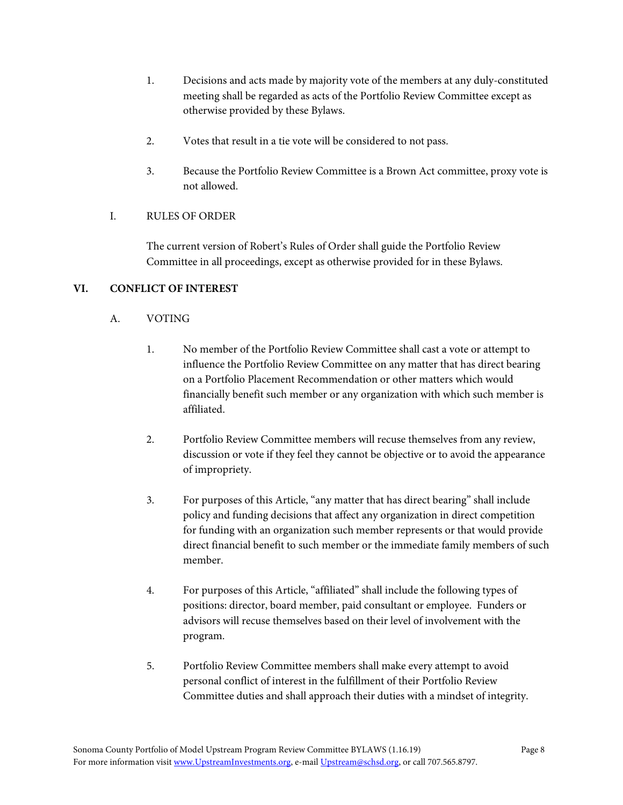- 1. Decisions and acts made by majority vote of the members at any duly-constituted meeting shall be regarded as acts of the Portfolio Review Committee except as otherwise provided by these Bylaws.
- 2. Votes that result in a tie vote will be considered to not pass.
- 3. Because the Portfolio Review Committee is a Brown Act committee, proxy vote is not allowed.

# <span id="page-17-0"></span>I. RULES OF ORDER

The current version of Robert's Rules of Order shall guide the Portfolio Review Committee in all proceedings, except as otherwise provided for in these Bylaws.

# <span id="page-17-2"></span><span id="page-17-1"></span>**VI. CONFLICT OF INTEREST**

# A. VOTING

- 1. No member of the Portfolio Review Committee shall cast a vote or attempt to influence the Portfolio Review Committee on any matter that has direct bearing on a Portfolio Placement Recommendation or other matters which would financially benefit such member or any organization with which such member is affiliated.
- 2. Portfolio Review Committee members will recuse themselves from any review, discussion or vote if they feel they cannot be objective or to avoid the appearance of impropriety.
- 3. For purposes of this Article, "any matter that has direct bearing" shall include policy and funding decisions that affect any organization in direct competition for funding with an organization such member represents or that would provide direct financial benefit to such member or the immediate family members of such member.
- 4. For purposes of this Article, "affiliated" shall include the following types of positions: director, board member, paid consultant or employee. Funders or advisors will recuse themselves based on their level of involvement with the program.
- 5. Portfolio Review Committee members shall make every attempt to avoid personal conflict of interest in the fulfillment of their Portfolio Review Committee duties and shall approach their duties with a mindset of integrity.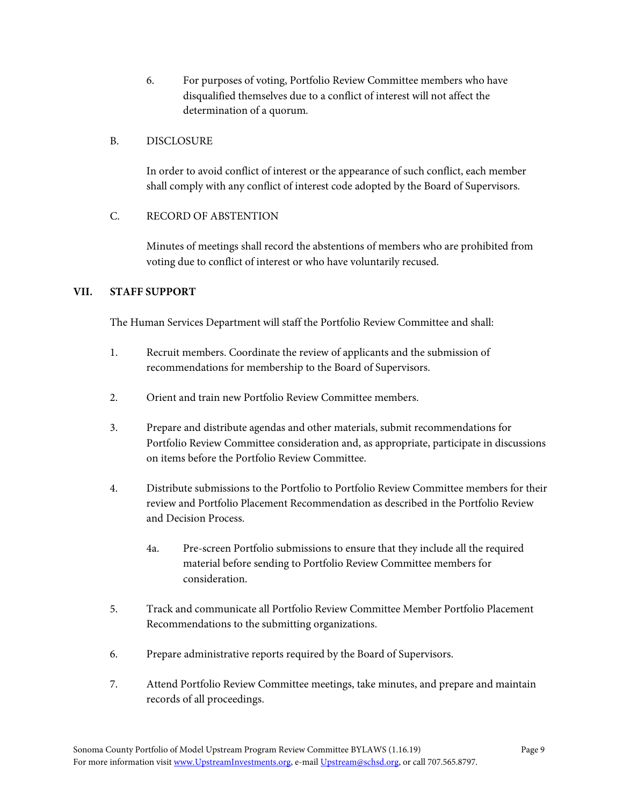6. For purposes of voting, Portfolio Review Committee members who have disqualified themselves due to a conflict of interest will not affect the determination of a quorum.

#### <span id="page-18-0"></span>B. DISCLOSURE

In order to avoid conflict of interest or the appearance of such conflict, each member shall comply with any conflict of interest code adopted by the Board of Supervisors.

# <span id="page-18-1"></span>C. RECORD OF ABSTENTION

Minutes of meetings shall record the abstentions of members who are prohibited from voting due to conflict of interest or who have voluntarily recused.

# <span id="page-18-2"></span>**VII. STAFF SUPPORT**

The Human Services Department will staff the Portfolio Review Committee and shall:

- 1. Recruit members. Coordinate the review of applicants and the submission of recommendations for membership to the Board of Supervisors.
- 2. Orient and train new Portfolio Review Committee members.
- 3. Prepare and distribute agendas and other materials, submit recommendations for Portfolio Review Committee consideration and, as appropriate, participate in discussions on items before the Portfolio Review Committee.
- 4. Distribute submissions to the Portfolio to Portfolio Review Committee members for their review and Portfolio Placement Recommendation as described in the Portfolio Review and Decision Process.
	- 4a. Pre-screen Portfolio submissions to ensure that they include all the required material before sending to Portfolio Review Committee members for consideration.
- 5. Track and communicate all Portfolio Review Committee Member Portfolio Placement Recommendations to the submitting organizations.
- 6. Prepare administrative reports required by the Board of Supervisors.
- 7. Attend Portfolio Review Committee meetings, take minutes, and prepare and maintain records of all proceedings.